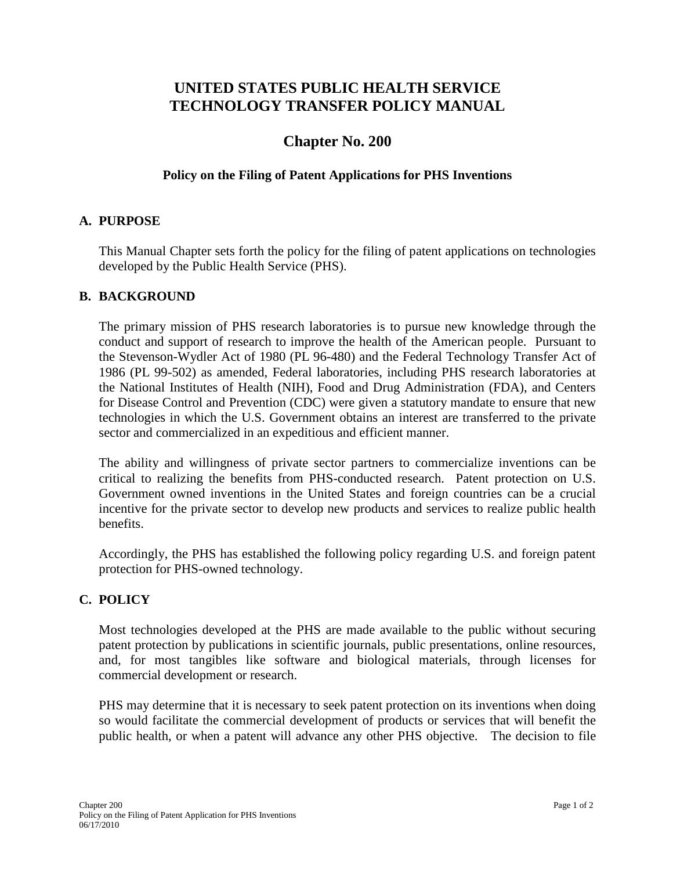# **UNITED STATES PUBLIC HEALTH SERVICE TECHNOLOGY TRANSFER POLICY MANUAL**

## **Chapter No. 200**

### **Policy on the Filing of Patent Applications for PHS Inventions**

### **A. PURPOSE**

This Manual Chapter sets forth the policy for the filing of patent applications on technologies developed by the Public Health Service (PHS).

#### **B. BACKGROUND**

The primary mission of PHS research laboratories is to pursue new knowledge through the conduct and support of research to improve the health of the American people. Pursuant to the Stevenson-Wydler Act of 1980 (PL 96-480) and the Federal Technology Transfer Act of 1986 (PL 99-502) as amended, Federal laboratories, including PHS research laboratories at the National Institutes of Health (NIH), Food and Drug Administration (FDA), and Centers for Disease Control and Prevention (CDC) were given a statutory mandate to ensure that new technologies in which the U.S. Government obtains an interest are transferred to the private sector and commercialized in an expeditious and efficient manner.

The ability and willingness of private sector partners to commercialize inventions can be critical to realizing the benefits from PHS-conducted research. Patent protection on U.S. Government owned inventions in the United States and foreign countries can be a crucial incentive for the private sector to develop new products and services to realize public health benefits.

Accordingly, the PHS has established the following policy regarding U.S. and foreign patent protection for PHS-owned technology.

#### **C. POLICY**

Most technologies developed at the PHS are made available to the public without securing patent protection by publications in scientific journals, public presentations, online resources, and, for most tangibles like software and biological materials, through licenses for commercial development or research.

PHS may determine that it is necessary to seek patent protection on its inventions when doing so would facilitate the commercial development of products or services that will benefit the public health, or when a patent will advance any other PHS objective. The decision to file